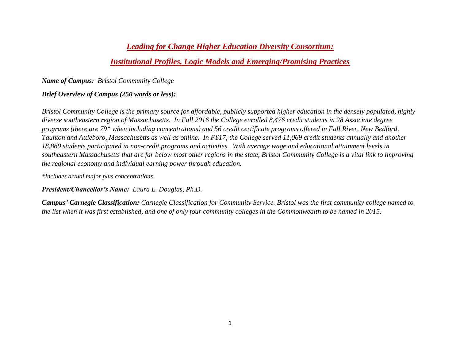## *Leading for Change Higher Education Diversity Consortium:*

## *Institutional Profiles, Logic Models and Emerging/Promising Practices*

*Name of Campus: Bristol Community College*

### *Brief Overview of Campus (250 words or less):*

*Bristol Community College is the primary source for affordable, publicly supported higher education in the densely populated, highly diverse southeastern region of Massachusetts. In Fall 2016 the College enrolled 8,476 credit students in 28 Associate degree programs (there are 79\* when including concentrations) and 56 credit certificate programs offered in Fall River, New Bedford, Taunton and Attleboro, Massachusetts as well as online. In FY17, the College served 11,069 credit students annually and another 18,889 students participated in non-credit programs and activities. With average wage and educational attainment levels in southeastern Massachusetts that are far below most other regions in the state, Bristol Community College is a vital link to improving the regional economy and individual earning power through education.*

*\*Includes actual major plus concentrations.*

*President/Chancellor's Name: Laura L. Douglas, Ph.D.*

*Campus' Carnegie Classification: Carnegie Classification for Community Service. Bristol was the first community college named to the list when it was first established, and one of only four community colleges in the Commonwealth to be named in 2015.*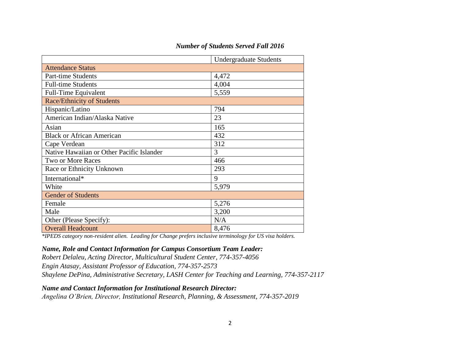### *Number of Students Served Fall 2016*

|                                           | <b>Undergraduate Students</b> |  |  |  |  |  |
|-------------------------------------------|-------------------------------|--|--|--|--|--|
| <b>Attendance Status</b>                  |                               |  |  |  |  |  |
| Part-time Students                        | 4,472                         |  |  |  |  |  |
| <b>Full-time Students</b>                 | 4,004                         |  |  |  |  |  |
| <b>Full-Time Equivalent</b>               | 5,559                         |  |  |  |  |  |
| <b>Race/Ethnicity of Students</b>         |                               |  |  |  |  |  |
| Hispanic/Latino                           | 794                           |  |  |  |  |  |
| American Indian/Alaska Native             | 23                            |  |  |  |  |  |
| Asian                                     | 165                           |  |  |  |  |  |
| <b>Black or African American</b>          | 432                           |  |  |  |  |  |
| Cape Verdean                              | 312                           |  |  |  |  |  |
| Native Hawaiian or Other Pacific Islander | 3                             |  |  |  |  |  |
| Two or More Races                         | 466                           |  |  |  |  |  |
| Race or Ethnicity Unknown                 | 293                           |  |  |  |  |  |
| International*                            | 9                             |  |  |  |  |  |
| White                                     | 5,979                         |  |  |  |  |  |
| <b>Gender of Students</b>                 |                               |  |  |  |  |  |
| Female                                    | 5,276                         |  |  |  |  |  |
| Male                                      | 3,200                         |  |  |  |  |  |
| Other (Please Specify):                   | N/A                           |  |  |  |  |  |
| <b>Overall Headcount</b>                  | 8,476                         |  |  |  |  |  |

*\*IPEDS category non-resident alien. Leading for Change prefers inclusive terminology for US visa holders.*

#### *Name, Role and Contact Information for Campus Consortium Team Leader:*

*Robert Delaleu, Acting Director, Multicultural Student Center, 774-357-4056 Engin Atasay, Assistant Professor of Education, 774-357-2573 Shaylene DePina, Administrative Secretary, LASH Center for Teaching and Learning, 774-357-2117*

#### *Name and Contact Information for Institutional Research Director:*

*Angelina O'Brien, Director, Institutional Research, Planning, & Assessment, 774-357-2019*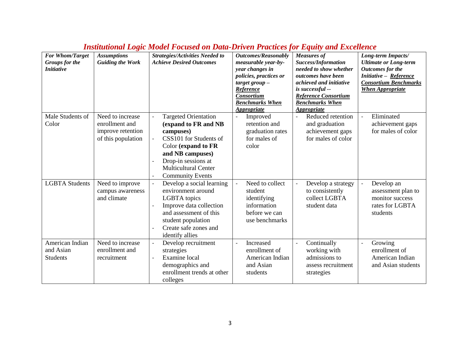| For Whom/Target<br>Groups for the<br><b>Initiative</b> | <b>Assumptions</b><br><b>Guiding the Work</b>                                 | <b>Strategies/Activities Needed to</b><br><b>Achieve Desired Outcomes</b>                                                                                                                                                                                                      | <b>Outcomes/Reasonably</b><br>measurable year-by-<br>year changes in<br>policies, practices or<br>$target$ group $-$<br>Reference<br><b>Consortium</b><br><b>Benchmarks When</b><br><b>Appropriate</b> | <b>Measures of</b><br><b>Success/Information</b><br>needed to show whether<br>outcomes have been<br>achieved and initiative<br>is successful --<br><b>Reference Consortium</b><br><b>Benchmarks When</b><br><b>Appropriate</b> | Long-term Impacts/<br><b>Ultimate or Long-term</b><br><b>Outcomes for the</b><br>Initiative - Reference<br><b>Consortium Benchmarks</b><br><b>When Appropriate</b> |
|--------------------------------------------------------|-------------------------------------------------------------------------------|--------------------------------------------------------------------------------------------------------------------------------------------------------------------------------------------------------------------------------------------------------------------------------|--------------------------------------------------------------------------------------------------------------------------------------------------------------------------------------------------------|--------------------------------------------------------------------------------------------------------------------------------------------------------------------------------------------------------------------------------|--------------------------------------------------------------------------------------------------------------------------------------------------------------------|
| Male Students of<br>Color                              | Need to increase<br>enrollment and<br>improve retention<br>of this population | <b>Targeted Orientation</b><br>(expand to FR and NB<br>campuses)<br>CSS101 for Students of<br>$\overline{\phantom{a}}$<br>Color (expand to FR<br>and NB campuses)<br>Drop-in sessions at<br>$\overline{\phantom{a}}$<br><b>Multicultural Center</b><br><b>Community Events</b> | Improved<br>$\overline{\phantom{a}}$<br>retention and<br>graduation rates<br>for males of<br>color                                                                                                     | Reduced retention<br>and graduation<br>achievement gaps<br>for males of color                                                                                                                                                  | Eliminated<br>$\overline{\phantom{a}}$<br>achievement gaps<br>for males of color                                                                                   |
| <b>LGBTA Students</b>                                  | Need to improve<br>campus awareness<br>and climate                            | Develop a social learning<br>$\overline{\phantom{a}}$<br>environment around<br>LGBTA topics<br>Improve data collection<br>$\overline{a}$<br>and assessment of this<br>student population<br>Create safe zones and<br>$\overline{\phantom{a}}$<br>identify allies               | Need to collect<br>$\blacksquare$<br>student<br>identifying<br>information<br>before we can<br>use benchmarks                                                                                          | Develop a strategy<br>$\overline{a}$<br>to consistently<br>collect LGBTA<br>student data                                                                                                                                       | $\Box$<br>Develop an<br>assessment plan to<br>monitor success<br>rates for LGBTA<br>students                                                                       |
| American Indian<br>and Asian<br><b>Students</b>        | Need to increase<br>enrollment and<br>recruitment                             | Develop recruitment<br>$\overline{\phantom{a}}$<br>strategies<br>Examine local<br>$\overline{\phantom{a}}$<br>demographics and<br>enrollment trends at other<br>colleges                                                                                                       | Increased<br>$\blacksquare$<br>enrollment of<br>American Indian<br>and Asian<br>students                                                                                                               | Continually<br>$\overline{a}$<br>working with<br>admissions to<br>assess recruitment<br>strategies                                                                                                                             | Growing<br>$\frac{1}{2}$<br>enrollment of<br>American Indian<br>and Asian students                                                                                 |

# *Institutional Logic Model Focused on Data-Driven Practices for Equity and Excellence*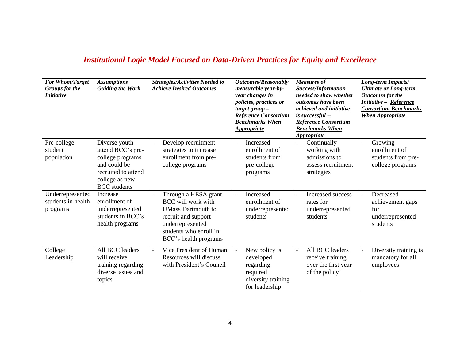# *Institutional Logic Model Focused on Data-Driven Practices for Equity and Excellence*

| For Whom/Target<br>Groups for the<br><i>Initiative</i> | <b>Assumptions</b><br><b>Guiding the Work</b>                                                                                          | <b>Strategies/Activities Needed to</b><br><b>Achieve Desired Outcomes</b>                                                                                                     | Outcomes/Reasonably<br>measurable year-by-<br>year changes in<br>policies, practices or<br>$target$ group $-$<br>Reference Consortium<br><b>Benchmarks When</b><br><i><b>Appropriate</b></i> | <b>Measures of</b><br>Success/Information<br>needed to show whether<br><i>outcomes have been</i><br>achieved and initiative<br>is successful --<br><b>Reference Consortium</b><br><b>Benchmarks When</b><br><b>Appropriate</b> | Long-term Impacts/<br><b>Ultimate or Long-term</b><br><b>Outcomes</b> for the<br>Initiative - Reference<br><b>Consortium Benchmarks</b><br><b>When Appropriate</b> |
|--------------------------------------------------------|----------------------------------------------------------------------------------------------------------------------------------------|-------------------------------------------------------------------------------------------------------------------------------------------------------------------------------|----------------------------------------------------------------------------------------------------------------------------------------------------------------------------------------------|--------------------------------------------------------------------------------------------------------------------------------------------------------------------------------------------------------------------------------|--------------------------------------------------------------------------------------------------------------------------------------------------------------------|
| Pre-college<br>student<br>population                   | Diverse youth<br>attend BCC's pre-<br>college programs<br>and could be<br>recruited to attend<br>college as new<br><b>BCC</b> students | Develop recruitment<br>strategies to increase<br>enrollment from pre-<br>college programs                                                                                     | Increased<br>$\blacksquare$<br>enrollment of<br>students from<br>pre-college<br>programs                                                                                                     | Continually<br>working with<br>admissions to<br>assess recruitment<br>strategies                                                                                                                                               | Growing<br>$\qquad \qquad \blacksquare$<br>enrollment of<br>students from pre-<br>college programs                                                                 |
| Underrepresented<br>students in health<br>programs     | Increase<br>enrollment of<br>underrepresented<br>students in BCC's<br>health programs                                                  | Through a HESA grant,<br><b>BCC</b> will work with<br><b>UMass Dartmouth to</b><br>recruit and support<br>underrepresented<br>students who enroll in<br>BCC's health programs | Increased<br>enrollment of<br>underrepresented<br>students                                                                                                                                   | Increased success<br>rates for<br>underrepresented<br>students                                                                                                                                                                 | Decreased<br>$\overline{\phantom{a}}$<br>achievement gaps<br>for<br>underrepresented<br>students                                                                   |
| College<br>Leadership                                  | All BCC leaders<br>will receive<br>training regarding<br>diverse issues and<br>topics                                                  | Vice President of Human<br>Resources will discuss<br>with President's Council                                                                                                 | New policy is<br>developed<br>regarding<br>required<br>diversity training<br>for leadership                                                                                                  | All BCC leaders<br>receive training<br>over the first year<br>of the policy                                                                                                                                                    | Diversity training is<br>$\qquad \qquad -$<br>mandatory for all<br>employees                                                                                       |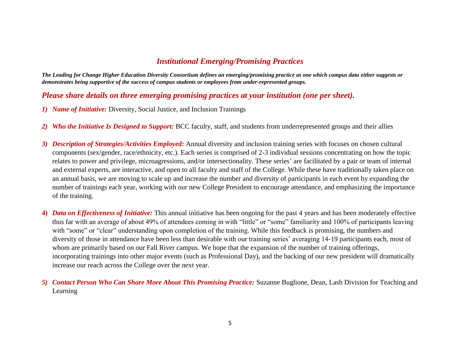# *Institutional Emerging/Promising Practices*

*The Leading for Change Higher Education Diversity Consortium defines an emerging/promising practice as one which campus data either suggests or demonstrates being supportive of the success of campus students or employees from under-represented groups.* 

### *Please share details on three emerging promising practices at your institution (one per sheet).*

- *1) Name of Initiative:* Diversity, Social Justice, and Inclusion Trainings
- *2) Who the Initiative Is Designed to Support:* BCC faculty, staff, and students from underrepresented groups and their allies
- *3) Description of Strategies/Activities Employed:* Annual diversity and inclusion training series with focuses on chosen cultural components (sex/gender, race/ethnicity, etc.). Each series is comprised of 2-3 individual sessions concentrating on how the topic relates to power and privilege, microagressions, and/or intersectionality. These series' are facilitated by a pair or team of internal and external experts, are interactive, and open to all faculty and staff of the College. While these have traditionally taken place on an annual basis, we are moving to scale up and increase the number and diversity of participants in each event by expanding the number of trainings each year, working with our new College President to encourage attendance, and emphasizing the importance of the training.
- **4)** *Data on Effectiveness of Initiative:* This annual initiative has been ongoing for the past 4 years and has been moderately effective thus far with an average of about 49% of attendees coming in with "little" or "some" familiarity and 100% of participants leaving with "some" or "clear" understanding upon completion of the training. While this feedback is promising, the numbers and diversity of those in attendance have been less than desirable with our training series' averaging 14-19 participants each, most of whom are primarily based on our Fall River campus. We hope that the expansion of the number of training offerings, incorporating trainings into other major events (such as Professional Day), and the backing of our new president will dramatically increase our reach across the College over the next year.
- *5) Contact Person Who Can Share More About This Promising Practice:* Suzanne Buglione, Dean, Lash Division for Teaching and Learning